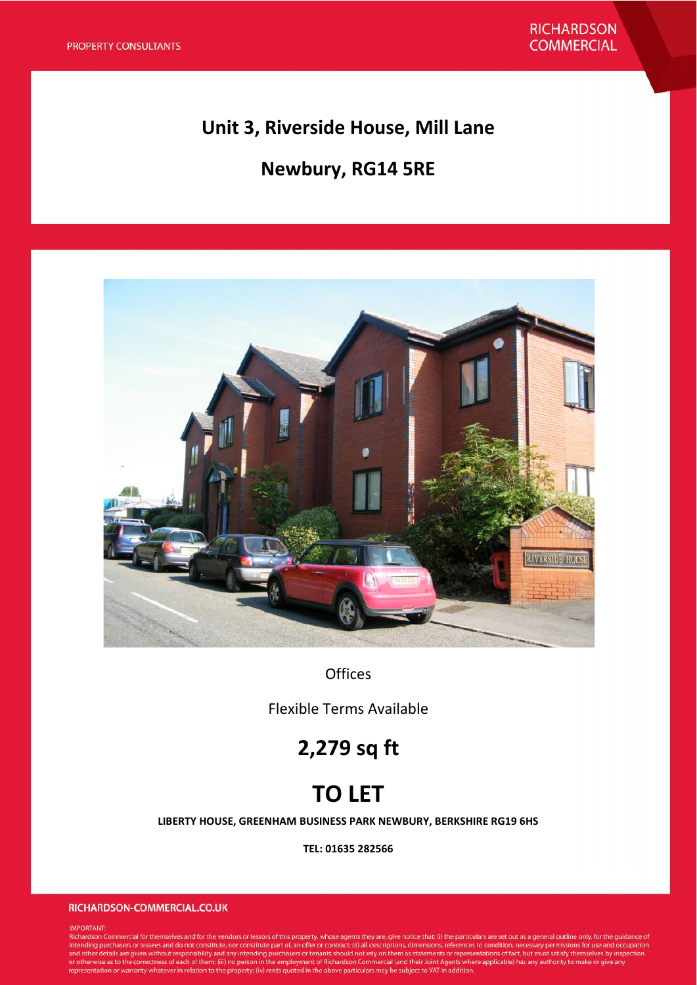## **Unit 3, Riverside House, Mill Lane**

# **Newbury, RG14 5RE**



**Offices** 

Flexible Terms Available

# **2,279 sq ft**

# **TO LET**

**LIBERTY HOUSE, GREENHAM BUSINESS PARK NEWBURY, BERKSHIRE RG19 6HS**

**TEL: 01635 282566**

#### RICHARDSON-COMMERCIAL.CO.UK

#### IMPORTANT:

intervention.<br>Richardson Commercial for themselves and for the vendors or lessors of this property, whose agents they are, give notice that: (i) the particulars are set out as a general outline only, for the guidance of<br>in or otherwise as to the correctness of each of them; (iii) no person in the employment of Richardson Commercial (and their Joint Agents where applicable) has any authority to make or give any representation or warranty what